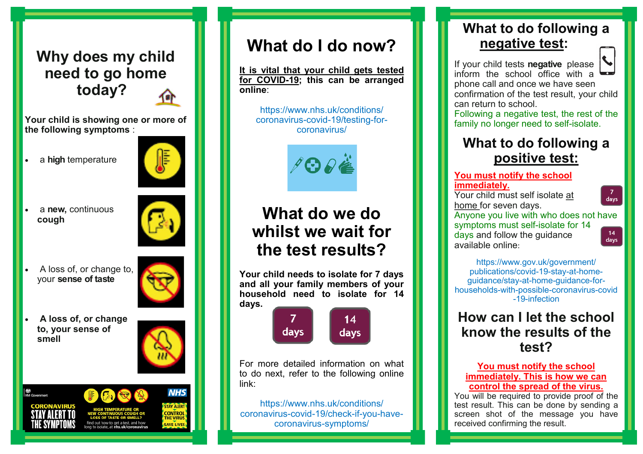## **Why does my child need to go home today?**

**Your child is showing one or more of the following symptoms** :

a **high** temperature



 a **new,** continuous **cough**



 A loss of, or change to, your **sense of taste**



 **A loss of, or change to, your sense of smell** 





# **What do I do now?**

**It is vital that your child gets tested for COVID-19; this can be arranged online**:

https://www.nhs.uk/conditions/ coronavirus-covid-19/testing-forcoronavirus/

**PORË** 

# **What do we do whilst we wait for the test results?**

**Your child needs to isolate for 7 days and all your family members of your household need to isolate for 14 days.**



For more detailed information on what to do next, refer to the following online link:

https://www.nhs.uk/conditions/ coronavirus-covid-19/check-if-you-havecoronavirus-symptoms/

### **What to do following a negative test:**

If your child tests **negative** please inform the school office with a phone call and once we have seen confirmation of the test result, your child can return to school.

Following a negative test, the rest of the family no longer need to self-isolate.

### **What to do following a positive test:**

#### **You must notify the school immediately.**

Your child must self isolate at home for seven days.

Anyone you live with who does not have symptoms must self-isolate for 14 days and follow the guidance available online:



days

[https://www.gov.uk/government/](https://www.gov.uk/government/publications/covid-19-stay-at-home-guidance/stay-at-home-guidance-for-households-with-possible-coronavirus-covid-19-infection) [publications/covid](https://www.gov.uk/government/publications/covid-19-stay-at-home-guidance/stay-at-home-guidance-for-households-with-possible-coronavirus-covid-19-infection)-19-stay-at-home[guidance/stay](https://www.gov.uk/government/publications/covid-19-stay-at-home-guidance/stay-at-home-guidance-for-households-with-possible-coronavirus-covid-19-infection)-at-home-guidance-forhouseholds-with-possible-[coronavirus](https://www.gov.uk/government/publications/covid-19-stay-at-home-guidance/stay-at-home-guidance-for-households-with-possible-coronavirus-covid-19-infection)-covid -19-[infection](https://www.gov.uk/government/publications/covid-19-stay-at-home-guidance/stay-at-home-guidance-for-households-with-possible-coronavirus-covid-19-infection)

### **How can I let the school know the results of the test?**

#### **You must notify the school immediately. This is how we can control the spread of the virus.**

You will be required to provide proof of the test result. This can be done by sending a screen shot of the message you have received confirming the result.